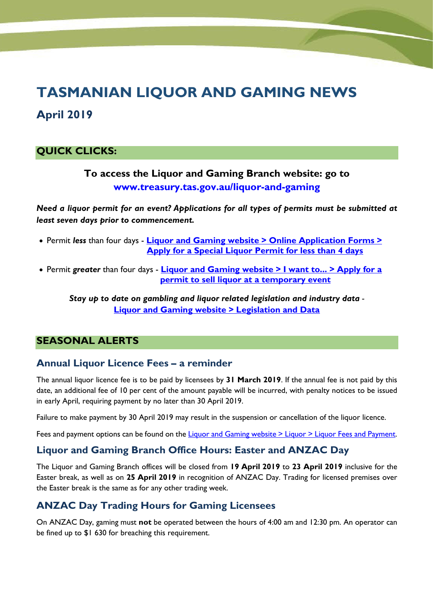# **TASMANIAN LIQUOR AND GAMING NEWS**

# **April 2019**

# **QUICK CLICKS:**

# **To access the Liquor and Gaming Branch website: go to [www.treasury.tas.gov.au/liquor-and-gaming](http://www.treasury.tas.gov.au/liquor-and-gaming)**

*Need a liquor permit for an event? Applications for all types of permits must be submitted at least seven days prior to commencement.*

- Permit *less* than four days **Liquor and Gaming website [> Online Application Forms >](https://forms.business.gov.au/smartforms/landing.htm?formCode=LAG-AFSP4D-V2)  [Apply for a Special Liquor Permit for less than 4 days](https://forms.business.gov.au/smartforms/landing.htm?formCode=LAG-AFSP4D-V2)**
- Permit *greater* than four days **[Liquor and Gaming website > I want to... > Apply for a](https://www.treasury.tas.gov.au/liquor-and-gaming/liquor/applying-to-sell-liquor)  [permit to sell liquor at a temporary event](https://www.treasury.tas.gov.au/liquor-and-gaming/liquor/applying-to-sell-liquor)**

*Stay up to date on gambling and liquor related legislation and industry data -* **Liquor and Gaming website [> Legislation and Data](https://www.treasury.tas.gov.au/liquor-and-gaming/legislation-and-data/)**

## **SEASONAL ALERTS**

## **Annual Liquor Licence Fees – a reminder**

The annual liquor licence fee is to be paid by licensees by **31 March 2019**. If the annual fee is not paid by this date, an additional fee of 10 per cent of the amount payable will be incurred, with penalty notices to be issued in early April, requiring payment by no later than 30 April 2019.

Failure to make payment by 30 April 2019 may result in the suspension or cancellation of the liquor licence.

Fees and payment options can be found on th[e Liquor and Gaming website >](https://www.treasury.tas.gov.au/liquor-and-gaming/liquor/liquor-fees-and-payment) Liquor > Liquor Fees and Payment.

## **Liquor and Gaming Branch Office Hours: Easter and ANZAC Day**

The Liquor and Gaming Branch offices will be closed from **19 April 2019** to **23 April 2019** inclusive for the Easter break, as well as on **25 April 2019** in recognition of ANZAC Day. Trading for licensed premises over the Easter break is the same as for any other trading week.

# **ANZAC Day Trading Hours for Gaming Licensees**

On ANZAC Day, gaming must **not** be operated between the hours of 4:00 am and 12:30 pm. An operator can be fined up to \$1 630 for breaching this requirement.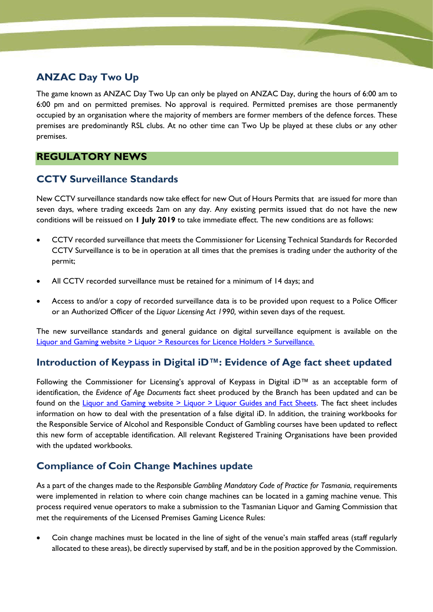# **ANZAC Day Two Up**

The game known as ANZAC Day Two Up can only be played on ANZAC Day, during the hours of 6:00 am to 6:00 pm and on permitted premises. No approval is required. Permitted premises are those permanently occupied by an organisation where the majority of members are former members of the defence forces. These premises are predominantly RSL clubs. At no other time can Two Up be played at these clubs or any other premises.

# **REGULATORY NEWS**

# **CCTV Surveillance Standards**

New CCTV surveillance standards now take effect for new Out of Hours Permits that are issued for more than seven days, where trading exceeds 2am on any day. Any existing permits issued that do not have the new conditions will be reissued on **1 July 2019** to take immediate effect. The new conditions are as follows:

- CCTV recorded surveillance that meets the Commissioner for Licensing Technical Standards for Recorded CCTV Surveillance is to be in operation at all times that the premises is trading under the authority of the permit;
- All CCTV recorded surveillance must be retained for a minimum of 14 days; and
- Access to and/or a copy of recorded surveillance data is to be provided upon request to a Police Officer or an Authorized Officer of the *Liquor Licensing Act 1990,* within seven days of the request.

The new surveillance standards and general guidance on digital surveillance equipment is available on the [Liquor and Gaming website > Liquor > Resources for Licence Holders](https://www.treasury.tas.gov.au/liquor-and-gaming/liquor/resources-for-licence-holders/surveillance-standards) > Surveillance.

# **Introduction of Keypass in Digital iD™: Evidence of Age fact sheet updated**

Following the Commissioner for Licensing's approval of Keypass in Digital iD™ as an acceptable form of identification, the *Evidence of Age Documents* fact sheet produced by the Branch has been updated and can be found on the Liquor and Gaming website [> Liquor > Liquor Guides and Fact Sheets.](https://www.treasury.tas.gov.au/liquor-and-gaming/liquor/liquor-guides-and-fact-sheets) The fact sheet includes information on how to deal with the presentation of a false digital iD. In addition, the training workbooks for the Responsible Service of Alcohol and Responsible Conduct of Gambling courses have been updated to reflect this new form of acceptable identification. All relevant Registered Training Organisations have been provided with the updated workbooks.

# **Compliance of Coin Change Machines update**

As a part of the changes made to the *Responsible Gambling Mandatory Code of Practice for Tasmania*, requirements were implemented in relation to where coin change machines can be located in a gaming machine venue. This process required venue operators to make a submission to the Tasmanian Liquor and Gaming Commission that met the requirements of the Licensed Premises Gaming Licence Rules:

• Coin change machines must be located in the line of sight of the venue's main staffed areas (staff regularly allocated to these areas), be directly supervised by staff, and be in the position approved by the Commission.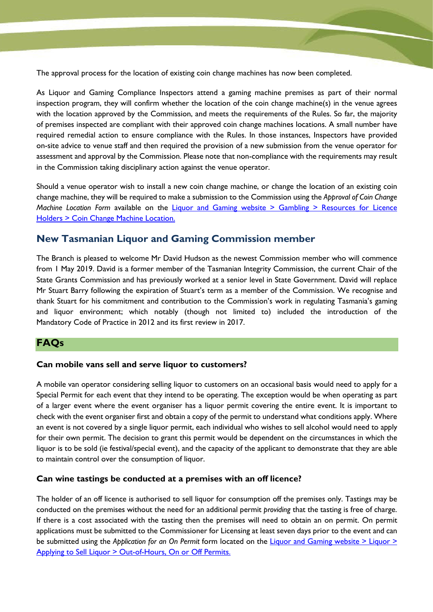The approval process for the location of existing coin change machines has now been completed.

As Liquor and Gaming Compliance Inspectors attend a gaming machine premises as part of their normal inspection program, they will confirm whether the location of the coin change machine(s) in the venue agrees with the location approved by the Commission, and meets the requirements of the Rules. So far, the majority of premises inspected are compliant with their approved coin change machines locations. A small number have required remedial action to ensure compliance with the Rules. In those instances, Inspectors have provided on-site advice to venue staff and then required the provision of a new submission from the venue operator for assessment and approval by the Commission. Please note that non-compliance with the requirements may result in the Commission taking disciplinary action against the venue operator.

Should a venue operator wish to install a new coin change machine, or change the location of an existing coin change machine, they will be required to make a submission to the Commission using the *Approval of Coin Change Machine Location Form* available on the *Liquor and Gaming website > Gambling > Resources for Licence* Holders [> Coin Change Machine Location.](https://www.treasury.tas.gov.au/liquor-and-gaming/gambling/reduce-harm-from-gambling/mandatory-code-of-practice)

#### **New Tasmanian Liquor and Gaming Commission member**

The Branch is pleased to welcome Mr David Hudson as the newest Commission member who will commence from 1 May 2019. David is a former member of the Tasmanian Integrity Commission, the current Chair of the State Grants Commission and has previously worked at a senior level in State Government. David will replace Mr Stuart Barry following the expiration of Stuart's term as a member of the Commission. We recognise and thank Stuart for his commitment and contribution to the Commission's work in regulating Tasmania's gaming and liquor environment; which notably (though not limited to) included the introduction of the Mandatory Code of Practice in 2012 and its first review in 2017.

#### **FAQs**

#### **Can mobile vans sell and serve liquor to customers?**

A mobile van operator considering selling liquor to customers on an occasional basis would need to apply for a Special Permit for each event that they intend to be operating. The exception would be when operating as part of a larger event where the event organiser has a liquor permit covering the entire event. It is important to check with the event organiser first and obtain a copy of the permit to understand what conditions apply. Where an event is not covered by a single liquor permit, each individual who wishes to sell alcohol would need to apply for their own permit. The decision to grant this permit would be dependent on the circumstances in which the liquor is to be sold (ie festival/special event), and the capacity of the applicant to demonstrate that they are able to maintain control over the consumption of liquor.

#### **Can wine tastings be conducted at a premises with an off licence?**

The holder of an off licence is authorised to sell liquor for consumption off the premises only. Tastings may be conducted on the premises without the need for an additional permit *providing* that the tasting is free of charge. If there is a cost associated with the tasting then the premises will need to obtain an on permit. On permit applications must be submitted to the Commissioner for Licensing at least seven days prior to the event and can be submitted using the *Application for an On Permit* form located on the [Liquor and Gaming website](https://www.treasury.tas.gov.au/liquor-and-gaming/liquor/applying-to-sell-liquor/out-of-hours-on-or-off-permits) > Liquor > [Applying to Sell Liquor > Out-of-Hours, On or Off Permits.](https://www.treasury.tas.gov.au/liquor-and-gaming/liquor/applying-to-sell-liquor/out-of-hours-on-or-off-permits)